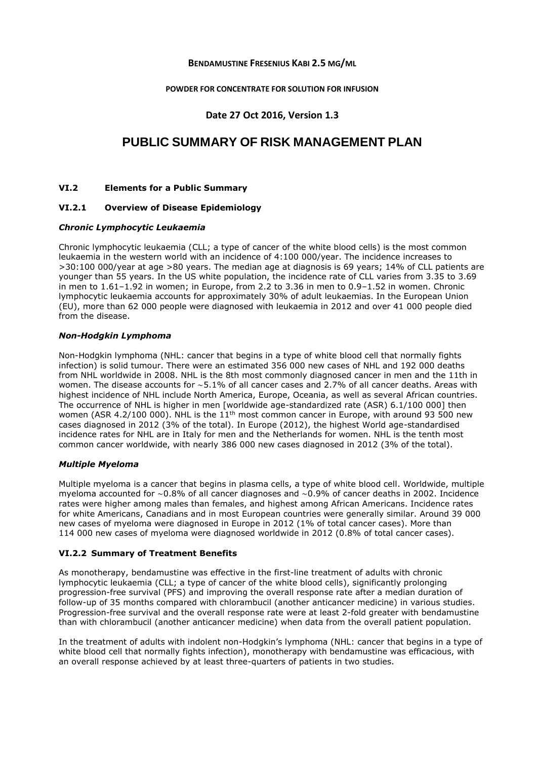## **BENDAMUSTINE FRESENIUS KABI 2.5 MG/ML**

#### **POWDER FOR CONCENTRATE FOR SOLUTION FOR INFUSION**

# **Date 27 Oct 2016, Version 1.3**

# **PUBLIC SUMMARY OF RISK MANAGEMENT PLAN**

#### **VI.2 Elements for a Public Summary**

## **VI.2.1 Overview of Disease Epidemiology**

#### *Chronic Lymphocytic Leukaemia*

Chronic lymphocytic leukaemia (CLL; a type of cancer of the white blood cells) is the most common leukaemia in the western world with an incidence of 4:100 000/year. The incidence increases to >30:100 000/year at age >80 years. The median age at diagnosis is 69 years; 14% of CLL patients are younger than 55 years. In the US white population, the incidence rate of CLL varies from 3.35 to 3.69 in men to 1.61–1.92 in women; in Europe, from 2.2 to 3.36 in men to 0.9–1.52 in women. Chronic lymphocytic leukaemia accounts for approximately 30% of adult leukaemias. In the European Union (EU), more than 62 000 people were diagnosed with leukaemia in 2012 and over 41 000 people died from the disease.

#### *Non-Hodgkin Lymphoma*

Non-Hodgkin lymphoma (NHL: cancer that begins in a type of white blood cell that normally fights infection) is solid tumour. There were an estimated 356 000 new cases of NHL and 192 000 deaths from NHL worldwide in 2008. NHL is the 8th most commonly diagnosed cancer in men and the 11th in women. The disease accounts for ∼5.1% of all cancer cases and 2.7% of all cancer deaths. Areas with highest incidence of NHL include North America, Europe, Oceania, as well as several African countries. The occurrence of NHL is higher in men [worldwide age-standardized rate (ASR) 6.1/100 000] then women (ASR 4.2/100 000). NHL is the  $11<sup>th</sup>$  most common cancer in Europe, with around 93 500 new cases diagnosed in 2012 (3% of the total). In Europe (2012), the highest World age-standardised incidence rates for NHL are in Italy for men and the Netherlands for women. NHL is the tenth most common cancer worldwide, with nearly 386 000 new cases diagnosed in 2012 (3% of the total).

#### *Multiple Myeloma*

Multiple myeloma is a cancer that begins in plasma cells, a type of white blood cell. Worldwide, multiple myeloma accounted for ∼0.8% of all cancer diagnoses and ∼0.9% of cancer deaths in 2002. Incidence rates were higher among males than females, and highest among African Americans. Incidence rates for white Americans, Canadians and in most European countries were generally similar. Around 39 000 new cases of myeloma were diagnosed in Europe in 2012 (1% of total cancer cases). More than 114 000 new cases of myeloma were diagnosed worldwide in 2012 (0.8% of total cancer cases).

#### **VI.2.2 Summary of Treatment Benefits**

As monotherapy, bendamustine was effective in the first-line treatment of adults with chronic lymphocytic leukaemia (CLL; a type of cancer of the white blood cells), significantly prolonging progression-free survival (PFS) and improving the overall response rate after a median duration of follow-up of 35 months compared with chlorambucil (another anticancer medicine) in various studies. Progression-free survival and the overall response rate were at least 2-fold greater with bendamustine than with chlorambucil (another anticancer medicine) when data from the overall patient population.

In the treatment of adults with indolent non-Hodgkin's lymphoma (NHL: cancer that begins in a type of white blood cell that normally fights infection), monotherapy with bendamustine was efficacious, with an overall response achieved by at least three-quarters of patients in two studies.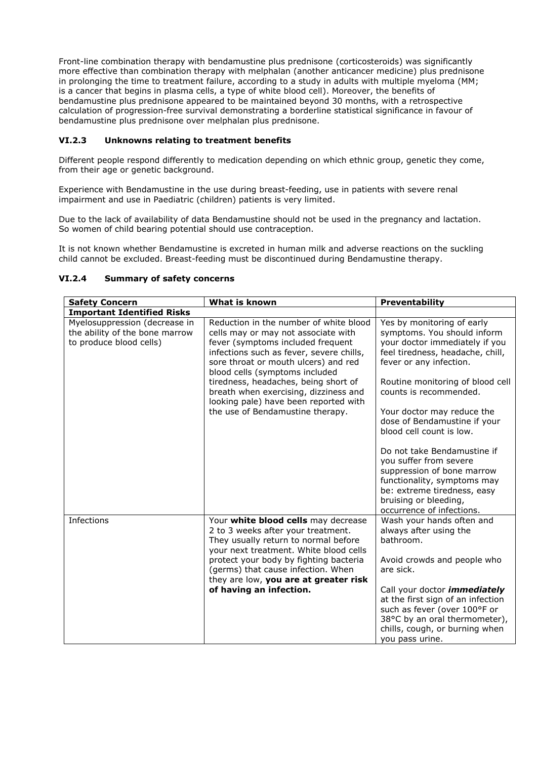Front-line combination therapy with bendamustine plus prednisone (corticosteroids) was significantly more effective than combination therapy with melphalan (another anticancer medicine) plus prednisone in prolonging the time to treatment failure, according to a study in adults with multiple myeloma (MM; is a cancer that begins in plasma cells, a type of white blood cell). Moreover, the benefits of bendamustine plus prednisone appeared to be maintained beyond 30 months, with a retrospective calculation of progression-free survival demonstrating a borderline statistical significance in favour of bendamustine plus prednisone over melphalan plus prednisone.

# **VI.2.3 Unknowns relating to treatment benefits**

Different people respond differently to medication depending on which ethnic group, genetic they come, from their age or genetic background.

Experience with Bendamustine in the use during breast-feeding, use in patients with severe renal impairment and use in Paediatric (children) patients is very limited.

Due to the lack of availability of data Bendamustine should not be used in the pregnancy and lactation. So women of child bearing potential should use contraception.

It is not known whether Bendamustine is excreted in human milk and adverse reactions on the suckling child cannot be excluded. Breast-feeding must be discontinued during Bendamustine therapy.

| <b>Safety Concern</b>                                                                      | What is known                                                                                                                                                                                                                                                                                                                                                                                          | <b>Preventability</b>                                                                                                                                                                                                                                                                                                                                                                                                                                                                                                         |  |  |
|--------------------------------------------------------------------------------------------|--------------------------------------------------------------------------------------------------------------------------------------------------------------------------------------------------------------------------------------------------------------------------------------------------------------------------------------------------------------------------------------------------------|-------------------------------------------------------------------------------------------------------------------------------------------------------------------------------------------------------------------------------------------------------------------------------------------------------------------------------------------------------------------------------------------------------------------------------------------------------------------------------------------------------------------------------|--|--|
| <b>Important Identified Risks</b>                                                          |                                                                                                                                                                                                                                                                                                                                                                                                        |                                                                                                                                                                                                                                                                                                                                                                                                                                                                                                                               |  |  |
| Myelosuppression (decrease in<br>the ability of the bone marrow<br>to produce blood cells) | Reduction in the number of white blood<br>cells may or may not associate with<br>fever (symptoms included frequent<br>infections such as fever, severe chills,<br>sore throat or mouth ulcers) and red<br>blood cells (symptoms included<br>tiredness, headaches, being short of<br>breath when exercising, dizziness and<br>looking pale) have been reported with<br>the use of Bendamustine therapy. | Yes by monitoring of early<br>symptoms. You should inform<br>your doctor immediately if you<br>feel tiredness, headache, chill,<br>fever or any infection.<br>Routine monitoring of blood cell<br>counts is recommended.<br>Your doctor may reduce the<br>dose of Bendamustine if your<br>blood cell count is low.<br>Do not take Bendamustine if<br>you suffer from severe<br>suppression of bone marrow<br>functionality, symptoms may<br>be: extreme tiredness, easy<br>bruising or bleeding,<br>occurrence of infections. |  |  |
| Infections                                                                                 | Your white blood cells may decrease<br>2 to 3 weeks after your treatment.<br>They usually return to normal before<br>your next treatment. White blood cells<br>protect your body by fighting bacteria<br>(germs) that cause infection. When<br>they are low, you are at greater risk<br>of having an infection.                                                                                        | Wash your hands often and<br>always after using the<br>bathroom.<br>Avoid crowds and people who<br>are sick.<br>Call your doctor <i>immediately</i><br>at the first sign of an infection<br>such as fever (over 100°F or<br>38°C by an oral thermometer),<br>chills, cough, or burning when<br>you pass urine.                                                                                                                                                                                                                |  |  |

## **VI.2.4 Summary of safety concerns**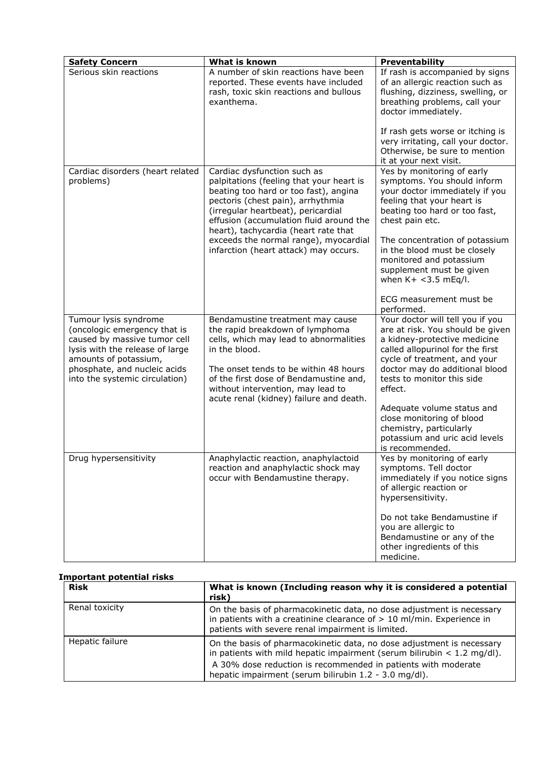| <b>Safety Concern</b>                                                                                                                                                                                               | What is known                                                                                                                                                                                                                                                                                                           | <b>Preventability</b>                                                                                                                                                                                                                               |
|---------------------------------------------------------------------------------------------------------------------------------------------------------------------------------------------------------------------|-------------------------------------------------------------------------------------------------------------------------------------------------------------------------------------------------------------------------------------------------------------------------------------------------------------------------|-----------------------------------------------------------------------------------------------------------------------------------------------------------------------------------------------------------------------------------------------------|
| Serious skin reactions                                                                                                                                                                                              | A number of skin reactions have been<br>reported. These events have included<br>rash, toxic skin reactions and bullous<br>exanthema.                                                                                                                                                                                    | If rash is accompanied by signs<br>of an allergic reaction such as<br>flushing, dizziness, swelling, or<br>breathing problems, call your<br>doctor immediately.                                                                                     |
|                                                                                                                                                                                                                     |                                                                                                                                                                                                                                                                                                                         | If rash gets worse or itching is<br>very irritating, call your doctor.<br>Otherwise, be sure to mention<br>it at your next visit.                                                                                                                   |
| Cardiac disorders (heart related<br>problems)                                                                                                                                                                       | Cardiac dysfunction such as<br>palpitations (feeling that your heart is<br>beating too hard or too fast), angina<br>pectoris (chest pain), arrhythmia<br>(irregular heartbeat), pericardial<br>effusion (accumulation fluid around the<br>heart), tachycardia (heart rate that<br>exceeds the normal range), myocardial | Yes by monitoring of early<br>symptoms. You should inform<br>your doctor immediately if you<br>feeling that your heart is<br>beating too hard or too fast,<br>chest pain etc.<br>The concentration of potassium                                     |
|                                                                                                                                                                                                                     | infarction (heart attack) may occurs.                                                                                                                                                                                                                                                                                   | in the blood must be closely<br>monitored and potassium<br>supplement must be given<br>when $K+ < 3.5$ mEq/l.                                                                                                                                       |
|                                                                                                                                                                                                                     |                                                                                                                                                                                                                                                                                                                         | ECG measurement must be<br>performed.                                                                                                                                                                                                               |
| Tumour lysis syndrome<br>(oncologic emergency that is<br>caused by massive tumor cell<br>lysis with the release of large<br>amounts of potassium,<br>phosphate, and nucleic acids<br>into the systemic circulation) | Bendamustine treatment may cause<br>the rapid breakdown of lymphoma<br>cells, which may lead to abnormalities<br>in the blood.<br>The onset tends to be within 48 hours<br>of the first dose of Bendamustine and,<br>without intervention, may lead to<br>acute renal (kidney) failure and death.                       | Your doctor will tell you if you<br>are at risk. You should be given<br>a kidney-protective medicine<br>called allopurinol for the first<br>cycle of treatment, and your<br>doctor may do additional blood<br>tests to monitor this side<br>effect. |
|                                                                                                                                                                                                                     |                                                                                                                                                                                                                                                                                                                         | Adequate volume status and<br>close monitoring of blood<br>chemistry, particularly<br>potassium and uric acid levels<br>is recommended.                                                                                                             |
| Drug hypersensitivity                                                                                                                                                                                               | Anaphylactic reaction, anaphylactoid<br>reaction and anaphylactic shock may<br>occur with Bendamustine therapy.                                                                                                                                                                                                         | Yes by monitoring of early<br>symptoms. Tell doctor<br>immediately if you notice signs<br>of allergic reaction or<br>hypersensitivity.                                                                                                              |
|                                                                                                                                                                                                                     |                                                                                                                                                                                                                                                                                                                         | Do not take Bendamustine if<br>you are allergic to<br>Bendamustine or any of the<br>other ingredients of this<br>medicine.                                                                                                                          |

# **Important potential risks**

| <b>Risk</b>     | What is known (Including reason why it is considered a potential<br>risk)                                                                                                                                                                                                    |
|-----------------|------------------------------------------------------------------------------------------------------------------------------------------------------------------------------------------------------------------------------------------------------------------------------|
| Renal toxicity  | On the basis of pharmacokinetic data, no dose adjustment is necessary<br>in patients with a creatinine clearance of $> 10$ ml/min. Experience in<br>patients with severe renal impairment is limited.                                                                        |
| Hepatic failure | On the basis of pharmacokinetic data, no dose adjustment is necessary<br>in patients with mild hepatic impairment (serum bilirubin $<$ 1.2 mg/dl).<br>A 30% dose reduction is recommended in patients with moderate<br>hepatic impairment (serum bilirubin 1.2 - 3.0 mg/dl). |